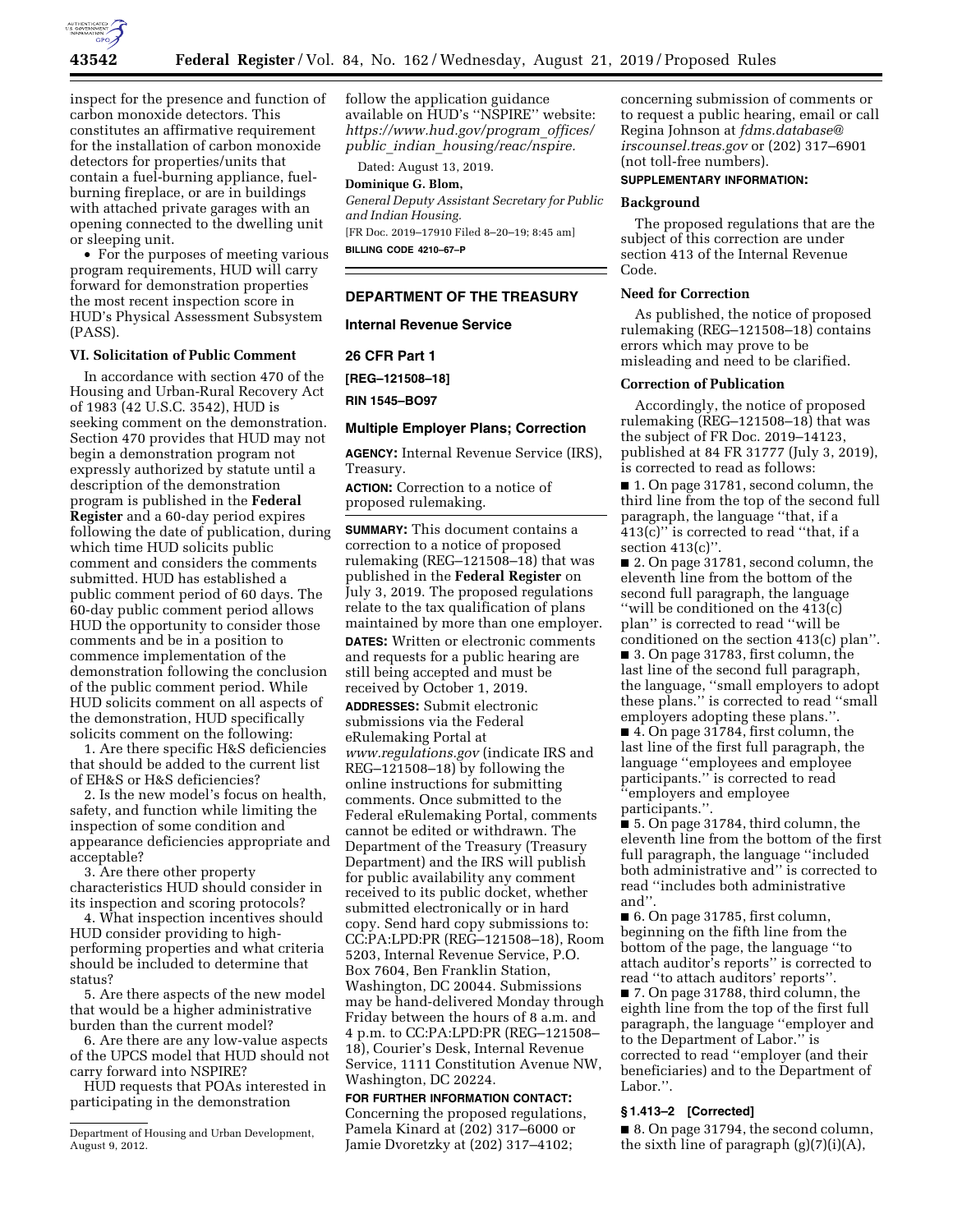

inspect for the presence and function of carbon monoxide detectors. This constitutes an affirmative requirement for the installation of carbon monoxide detectors for properties/units that contain a fuel-burning appliance, fuelburning fireplace, or are in buildings with attached private garages with an opening connected to the dwelling unit or sleeping unit.

• For the purposes of meeting various program requirements, HUD will carry forward for demonstration properties the most recent inspection score in HUD's Physical Assessment Subsystem (PASS).

#### **VI. Solicitation of Public Comment**

In accordance with section 470 of the Housing and Urban-Rural Recovery Act of 1983 (42 U.S.C. 3542), HUD is seeking comment on the demonstration. Section 470 provides that HUD may not begin a demonstration program not expressly authorized by statute until a description of the demonstration program is published in the **Federal Register** and a 60-day period expires following the date of publication, during which time HUD solicits public comment and considers the comments submitted. HUD has established a public comment period of 60 days. The 60-day public comment period allows HUD the opportunity to consider those comments and be in a position to commence implementation of the demonstration following the conclusion of the public comment period. While HUD solicits comment on all aspects of the demonstration, HUD specifically solicits comment on the following:

1. Are there specific H&S deficiencies that should be added to the current list of EH&S or H&S deficiencies?

2. Is the new model's focus on health, safety, and function while limiting the inspection of some condition and appearance deficiencies appropriate and acceptable?

3. Are there other property characteristics HUD should consider in its inspection and scoring protocols?

4. What inspection incentives should HUD consider providing to highperforming properties and what criteria should be included to determine that status?

5. Are there aspects of the new model that would be a higher administrative burden than the current model?

6. Are there are any low-value aspects of the UPCS model that HUD should not carry forward into NSPIRE?

HUD requests that POAs interested in participating in the demonstration

follow the application guidance available on HUD's ''NSPIRE'' website: *[https://www.hud.gov/program](https://www.hud.gov/program_offices/public_indian_housing/reac/nspire)*\_*offices/ public*\_*indian*\_*[housing/reac/nspire.](https://www.hud.gov/program_offices/public_indian_housing/reac/nspire)* 

Dated: August 13, 2019.

## **Dominique G. Blom,**

*General Deputy Assistant Secretary for Public and Indian Housing.* 

[FR Doc. 2019–17910 Filed 8–20–19; 8:45 am] **BILLING CODE 4210–67–P** 

## **DEPARTMENT OF THE TREASURY**

**Internal Revenue Service** 

#### **26 CFR Part 1**

**[REG–121508–18]** 

**RIN 1545–BO97** 

#### **Multiple Employer Plans; Correction**

**AGENCY:** Internal Revenue Service (IRS), Treasury.

**ACTION:** Correction to a notice of proposed rulemaking.

**SUMMARY:** This document contains a correction to a notice of proposed rulemaking (REG–121508–18) that was published in the **Federal Register** on July 3, 2019. The proposed regulations relate to the tax qualification of plans maintained by more than one employer. **DATES:** Written or electronic comments and requests for a public hearing are still being accepted and must be received by October 1, 2019.

**ADDRESSES:** Submit electronic submissions via the Federal eRulemaking Portal at *[www.regulations.gov](http://www.regulations.gov)* (indicate IRS and REG–121508–18) by following the online instructions for submitting comments. Once submitted to the Federal eRulemaking Portal, comments cannot be edited or withdrawn. The Department of the Treasury (Treasury Department) and the IRS will publish for public availability any comment received to its public docket, whether submitted electronically or in hard copy. Send hard copy submissions to: CC:PA:LPD:PR (REG–121508–18), Room 5203, Internal Revenue Service, P.O. Box 7604, Ben Franklin Station, Washington, DC 20044. Submissions may be hand-delivered Monday through Friday between the hours of 8 a.m. and 4 p.m. to CC:PA:LPD:PR (REG–121508– 18), Courier's Desk, Internal Revenue Service, 1111 Constitution Avenue NW, Washington, DC 20224.

#### **FOR FURTHER INFORMATION CONTACT:**

Concerning the proposed regulations, Pamela Kinard at (202) 317–6000 or Jamie Dvoretzky at (202) 317–4102;

concerning submission of comments or to request a public hearing, email or call Regina Johnson at *[fdms.database@](mailto:fdms.database@irscounsel.treas.gov) [irscounsel.treas.gov](mailto:fdms.database@irscounsel.treas.gov)* or (202) 317–6901 (not toll-free numbers).

#### **SUPPLEMENTARY INFORMATION:**

## **Background**

The proposed regulations that are the subject of this correction are under section 413 of the Internal Revenue Code.

#### **Need for Correction**

As published, the notice of proposed rulemaking (REG–121508–18) contains errors which may prove to be misleading and need to be clarified.

#### **Correction of Publication**

Accordingly, the notice of proposed rulemaking (REG–121508–18) that was the subject of FR Doc. 2019–14123, published at 84 FR 31777 (July 3, 2019), is corrected to read as follows:

■ 1. On page 31781, second column, the third line from the top of the second full paragraph, the language ''that, if a 413(c)'' is corrected to read ''that, if a section 413(c)".

■ 2. On page 31781, second column, the eleventh line from the bottom of the second full paragraph, the language ''will be conditioned on the 413(c) plan'' is corrected to read ''will be conditioned on the section 413(c) plan''. ■ 3. On page 31783, first column, the last line of the second full paragraph, the language, ''small employers to adopt these plans.'' is corrected to read ''small employers adopting these plans.''.

■ 4. On page 31784, first column, the last line of the first full paragraph, the language ''employees and employee participants.'' is corrected to read ''employers and employee participants.''.

■ 5. On page 31784, third column, the eleventh line from the bottom of the first full paragraph, the language ''included both administrative and'' is corrected to read ''includes both administrative and''.

■ 6. On page 31785, first column, beginning on the fifth line from the bottom of the page, the language ''to attach auditor's reports'' is corrected to read ''to attach auditors' reports''.

■ 7. On page 31788, third column, the eighth line from the top of the first full paragraph, the language ''employer and to the Department of Labor.'' is corrected to read ''employer (and their beneficiaries) and to the Department of Labor.''.

#### **§ 1.413–2 [Corrected]**

■ 8. On page 31794, the second column, the sixth line of paragraph  $(g)(7)(i)(A)$ ,

Department of Housing and Urban Development, August 9, 2012.